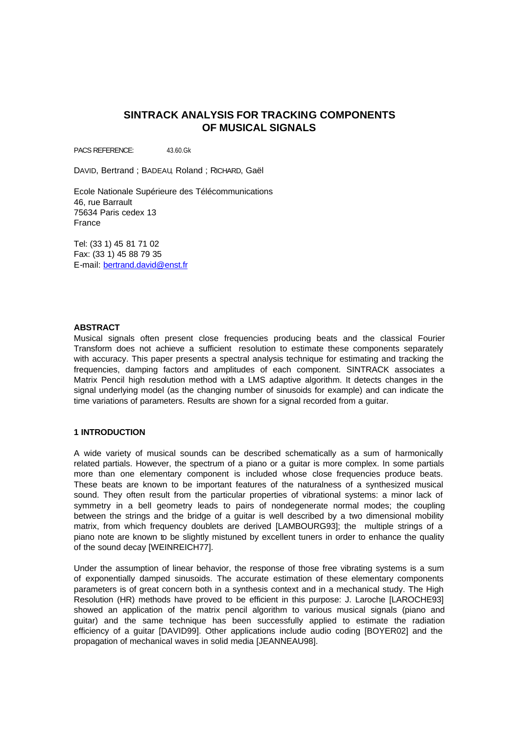# **SINTRACK ANALYSIS FOR TRACKING COMPONENTS OF MUSICAL SIGNALS**

PACS REFERENCE: 43.60 Gk

DAVID, Bertrand ; BADEAU, Roland ; RICHARD, Gaël

Ecole Nationale Supérieure des Télécommunications 46, rue Barrault 75634 Paris cedex 13 France

Tel: (33 1) 45 81 71 02 Fax: (33 1) 45 88 79 35 E-mail: bertrand.david@enst.fr

### **ABSTRACT**

Musical signals often present close frequencies producing beats and the classical Fourier Transform does not achieve a sufficient resolution to estimate these components separately with accuracy. This paper presents a spectral analysis technique for estimating and tracking the frequencies, damping factors and amplitudes of each component. SINTRACK associates a Matrix Pencil high resolution method with a LMS adaptive algorithm. It detects changes in the signal underlying model (as the changing number of sinusoids for example) and can indicate the time variations of parameters. Results are shown for a signal recorded from a guitar.

### **1 INTRODUCTION**

A wide variety of musical sounds can be described schematically as a sum of harmonically related partials. However, the spectrum of a piano or a guitar is more complex. In some partials more than one elementary component is included whose close frequencies produce beats. These beats are known to be important features of the naturalness of a synthesized musical sound. They often result from the particular properties of vibrational systems: a minor lack of symmetry in a bell geometry leads to pairs of nondegenerate normal modes; the coupling between the strings and the bridge of a guitar is well described by a two dimensional mobility matrix, from which frequency doublets are derived [LAMBOURG93]; the multiple strings of a piano note are known to be slightly mistuned by excellent tuners in order to enhance the quality of the sound decay [WEINREICH77].

Under the assumption of linear behavior, the response of those free vibrating systems is a sum of exponentially damped sinusoids. The accurate estimation of these elementary components parameters is of great concern both in a synthesis context and in a mechanical study. The High Resolution (HR) methods have proved to be efficient in this purpose: J. Laroche [LAROCHE93] showed an application of the matrix pencil algorithm to various musical signals (piano and guitar) and the same technique has been successfully applied to estimate the radiation efficiency of a guitar [DAVID99]. Other applications include audio coding [BOYER02] and the propagation of mechanical waves in solid media [JEANNEAU98].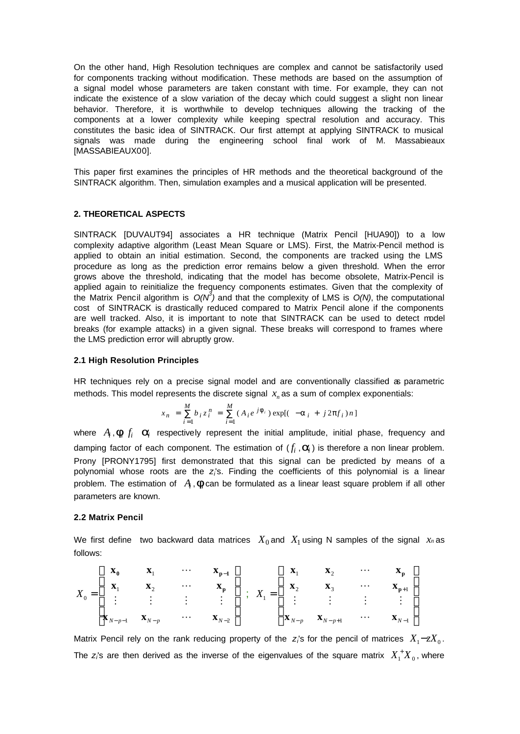On the other hand, High Resolution techniques are complex and cannot be satisfactorily used for components tracking without modification. These methods are based on the assumption of a signal model whose parameters are taken constant with time. For example, they can not indicate the existence of a slow variation of the decay which could suggest a slight non linear behavior. Therefore, it is worthwhile to develop techniques allowing the tracking of the components at a lower complexity while keeping spectral resolution and accuracy. This constitutes the basic idea of SINTRACK. Our first attempt at applying SINTRACK to musical signals was made during the engineering school final work of M. Massabieaux [MASSABIEAUX00].

This paper first examines the principles of HR methods and the theoretical background of the SINTRACK algorithm. Then, simulation examples and a musical application will be presented.

## **2. THEORETICAL ASPECTS**

SINTRACK [DUVAUT94] associates a HR technique (Matrix Pencil [HUA90]) to a low complexity adaptive algorithm (Least Mean Square or LMS). First, the Matrix-Pencil method is applied to obtain an initial estimation. Second, the components are tracked using the LMS procedure as long as the prediction error remains below a given threshold. When the error grows above the threshold, indicating that the model has become obsolete, Matrix-Pencil is applied again to reinitialize the frequency components estimates. Given that the complexity of the Matrix Pencil algorithm is  $O(N^3)$  and that the complexity of LMS is  $O(N)$ , the computational cost of SINTRACK is drastically reduced compared to Matrix Pencil alone if the components are well tracked. Also, it is important to note that SINTRACK can be used to detect model breaks (for example attacks) in a given signal. These breaks will correspond to frames where the LMS prediction error will abruptly grow.

#### **2.1 High Resolution Principles**

HR techniques rely on a precise signal model and are conventionally classified as parametric methods. This model represents the discrete signal  $x<sub>n</sub>$  as a sum of complex exponentials:

$$
x_n = \sum_{i=1}^{M} b_i z_i^n = \sum_{i=1}^{M} (A_i e^{j \mathbf{f}_i}) \exp[(-a_i + j2\mathbf{p} f_i) n]
$$

where  $A_i$ ,  $\boldsymbol{f}_i$   $f_i$   $\boldsymbol{a}_i$  respectively represent the initial amplitude, initial phase, frequency and damping factor of each component. The estimation of  $(f_i, \mathbf{a}_i)$  is therefore a non linear problem. Prony [PRONY1795] first demonstrated that this signal can be predicted by means of a polynomial whose roots are the z<sub>i</sub>'s. Finding the coefficients of this polynomial is a linear problem. The estimation of  $A_i$ ,  $f_i$ can be formulated as a linear least square problem if all other parameters are known.

#### **2.2 Matrix Pencil**

We first define two backward data matrices  $X_0$  and  $X_1$  using N samples of the signal  $x_n$  as follows:

$$
X_0 = \begin{bmatrix} \mathbf{x}_0 & \mathbf{x}_1 & \cdots & \mathbf{x}_{p-1} \\ \mathbf{x}_1 & \mathbf{x}_2 & \cdots & \mathbf{x}_p \\ \vdots & \vdots & \vdots & \vdots \\ \mathbf{x}_{N-p-1} & \mathbf{x}_{N-p} & \cdots & \mathbf{x}_{N-2} \end{bmatrix} ; \quad X_1 = \begin{bmatrix} \mathbf{x}_1 & \mathbf{x}_2 & \cdots & \mathbf{x}_p \\ \mathbf{x}_2 & \mathbf{x}_3 & \cdots & \mathbf{x}_{p+1} \\ \vdots & \vdots & \vdots & \vdots \\ \mathbf{x}_{N-p} & \mathbf{x}_{N-p+1} & \cdots & \mathbf{x}_{N-1} \end{bmatrix}
$$

Matrix Pencil rely on the rank reducing property of the  $z_i$ 's for the pencil of matrices  $X_i - zX_0$ . The  $z$ 's are then derived as the inverse of the eigenvalues of the square matrix  $X_1^+ X_0^-,$  where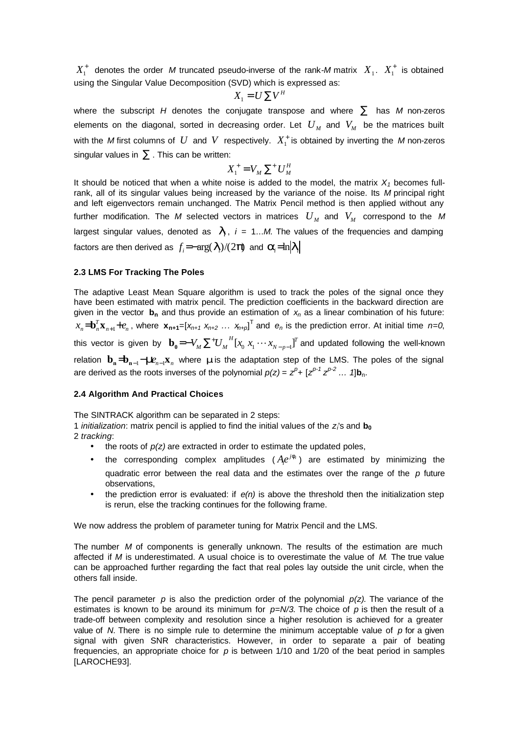$X_1^+$  denotes the order M truncated pseudo-inverse of the rank-M matrix  $X_1$ .  $X_1^+$  is obtained using the Singular Value Decomposition (SVD) which is expressed as:

$$
X_1 = U \sum V^H
$$

where the subscript *H* denotes the conjugate transpose and where  $\Sigma$  has *M* non-zeros elements on the diagonal, sorted in decreasing order. Let  $U_{M}$  and  $V_{M}$  be the matrices built with the *M* first columns of  $U$  and  $V$  respectively.  $X_1^+$  is obtained by inverting the M non-zeros singular values in  $\Sigma$ . This can be written:

$$
X_1^+ = V_M \sum^+ U_M^H
$$

It should be noticed that when a white noise is added to the model, the matrix  $X<sub>1</sub>$  becomes fullrank, all of its singular values being increased by the variance of the noise. Its *M* principal right and left eigenvectors remain unchanged. The Matrix Pencil method is then applied without any further modification. The M selected vectors in matrices  $|U_{_M}|$  and  $|V_{_M}|$  correspond to the M largest singular values, denoted as  $I_i$ ,  $i = 1...M$ . The values of the frequencies and damping factors are then derived as  $f_i$ =− $\arg(\bm{I}_i)/(2\bm{p})$  and  $\bm{a}_i$ = $\ln \mid \bm{I}_i$ 

## **2.3 LMS For Tracking The Poles**

The adaptive Least Mean Square algorithm is used to track the poles of the signal once they have been estimated with matrix pencil. The prediction coefficients in the backward direction are given in the vector **bn** and thus provide an estimation of *xn* as a linear combination of his future:  $n+1$ <sup> $\mathbf{c}_n$ </sup> *T*  $x_n = b_n^T \mathbf{x}_{n+1} + e_n$ , where  $\mathbf{x}_{n+1} = [x_{n+1} \ x_{n+2} \ \dots \ x_{n+p}]^T$  and  $e_n$  is the prediction error. At initial time  $n=0$ , this vector is given by  $\mathbf{b}_0 = -V_{_M} \sum^* {U_{_M}}^H [x_0 \ x_1 \cdots x_{_{N-p-1}}]^T$  $V_M \sum^{+} U_M^H [x_0 \ x_1 \cdots x_{N-p-1}]^T$  $\mathbf{b_0}$ = $-V_M \sum^* {U_M}^H [x_0 \ x_1 \cdots x_{N-p-1}]^T$  and updated following the well-known *n n* **b**<sub>**n**  $\sum_{n=1}^{\infty}$  −*m*<sub>*n*−1</sub> $\sum_{n=1}^{\infty}$  *n* where *m* is the adaptation step of the LMS. The poles of the signal</sub> are derived as the roots inverses of the polynomial  $p(z) = z^p + [z^{p-1} z^{p-2} ... 1]$ b<sub>n</sub>.

### **2.4 Algorithm And Practical Choices**

The SINTRACK algorithm can be separated in 2 steps:

1 *initialization*: matrix pencil is applied to find the initial values of the *z<sup>i</sup>* 's and **b<sup>0</sup>**

- 2 *tracking*:
	- $\bullet$  the roots of  $p(z)$  are extracted in order to estimate the updated poles,
	- the corresponding complex amplitudes  $(Ae^{jf_i})$  are estimated by minimizing the quadratic error between the real data and the estimates over the range of the *p* future observations,
	- the prediction error is evaluated: if  $e(n)$  is above the threshold then the initialization step is rerun, else the tracking continues for the following frame.

We now address the problem of parameter tuning for Matrix Pencil and the LMS.

The number *M* of components is generally unknown. The results of the estimation are much affected if *M* is underestimated. A usual choice is to overestimate the value of *M.* The true value can be approached further regarding the fact that real poles lay outside the unit circle, when the others fall inside.

The pencil parameter  $p$  is also the prediction order of the polynomial  $p(z)$ . The variance of the estimates is known to be around its minimum for *p=N/3*. The choice of *p* is then the result of a trade-off between complexity and resolution since a higher resolution is achieved for a greater value of *N*. There is no simple rule to determine the minimum acceptable value of *p* for a given signal with given SNR characteristics. However, in order to separate a pair of beating frequencies, an appropriate choice for *p* is between 1/10 and 1/20 of the beat period in samples [LAROCHE93].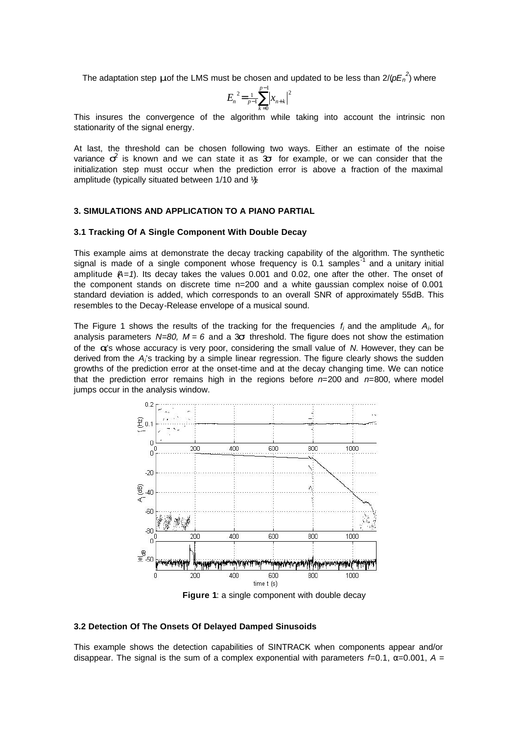The adaptation step *m* of the LMS must be chosen and updated to be less than  $2/(pE_n^2)$  where

$$
{E_n}^2 = \frac{1}{p-1} \sum_{k=0}^{p-1} |x_{n+k}|^2
$$

This insures the convergence of the algorithm while taking into account the intrinsic non stationarity of the signal energy.

At last, the threshold can be chosen following two ways. Either an estimate of the noise variance  $s^2$  is known and we can state it as 3s for example, or we can consider that the initialization step must occur when the prediction error is above a fraction of the maximal amplitude (typically situated between  $1/10$  and  $\frac{1}{2}$ )

#### **3. SIMULATIONS AND APPLICATION TO A PIANO PARTIAL**

#### **3.1 Tracking Of A Single Component With Double Decay**

This example aims at demonstrate the decay tracking capability of the algorithm. The synthetic signal is made of a single component whose frequency is 0.1 samples<sup>-1</sup> and a unitary initial amplitude (*A=1*). Its decay takes the values 0.001 and 0.02, one after the other. The onset of the component stands on discrete time n=200 and a white gaussian complex noise of 0.001 standard deviation is added, which corresponds to an overall SNR of approximately 55dB. This resembles to the Decay-Release envelope of a musical sound.

The Figure 1 shows the results of the tracking for the frequencies *f<sup>i</sup>* and the amplitude *A<sup>i</sup>* , for analysis parameters  $N=80$ ,  $M=6$  and a 3s threshold. The figure does not show the estimation of the *a<sup>i</sup>* 's whose accuracy is very poor, considering the small value of *N*. However, they can be derived from the A<sub>i</sub>'s tracking by a simple linear regression. The figure clearly shows the sudden growths of the prediction error at the onset-time and at the decay changing time. We can notice that the prediction error remains high in the regions before *n=*200 and *n=*800, where model jumps occur in the analysis window.



**Figure 1**: a single component with double decay

#### **3.2 Detection Of The Onsets Of Delayed Damped Sinusoids**

This example shows the detection capabilities of SINTRACK when components appear and/or disappear. The signal is the sum of a complex exponential with parameters  $f=0.1$ ,  $\alpha=0.001$ ,  $A=$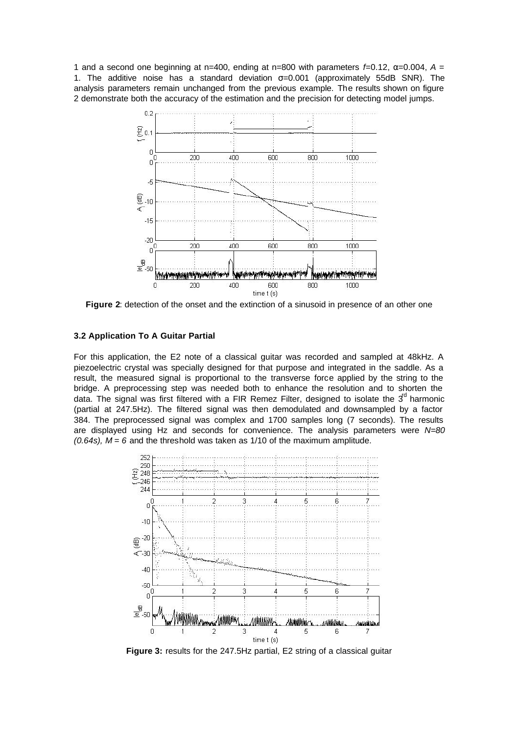1 and a second one beginning at n=400, ending at n=800 with parameters  $f=0.12$ ,  $\alpha=0.004$ ,  $A=$ 1. The additive noise has a standard deviation  $\sigma = 0.001$  (approximately 55dB SNR). The analysis parameters remain unchanged from the previous example. The results shown on figure 2 demonstrate both the accuracy of the estimation and the precision for detecting model jumps.



**Figure 2**: detection of the onset and the extinction of a sinusoid in presence of an other one

### **3.2 Application To A Guitar Partial**

For this application, the E2 note of a classical guitar was recorded and sampled at 48kHz. A piezoelectric crystal was specially designed for that purpose and integrated in the saddle. As a result, the measured signal is proportional to the transverse force applied by the string to the bridge. A preprocessing step was needed both to enhance the resolution and to shorten the data. The signal was first filtered with a FIR Remez Filter, designed to isolate the  $3<sup>°</sup>$  harmonic (partial at 247.5Hz). The filtered signal was then demodulated and downsampled by a factor 384. The preprocessed signal was complex and 1700 samples long (7 seconds). The results are displayed using Hz and seconds for convenience. The analysis parameters were *N=80 (0.64s), M = 6* and the threshold was taken as 1/10 of the maximum amplitude.



**Figure 3:** results for the 247.5Hz partial, E2 string of a classical guitar